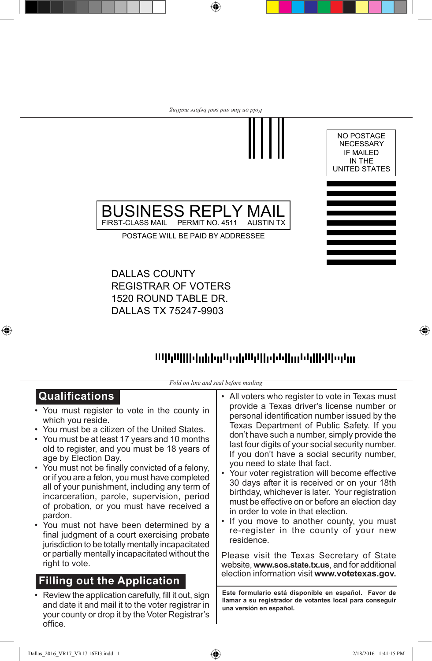

 $\bigoplus$ 



⊕

POSTAGE WILL BE PAID BY ADDRESSEE

BUSINESS REPLY MAIL<br>FIRST-CLASS MAIL PERMIT NO. 4511 AUSTIN TX

DALLAS COUNTY **REGISTRAR OF VOTERS** 1520 ROUND TABLE DR. DALLAS TX 75247-9903

FIRST-CLASS MAIL PERMIT NO. 4511

## mpphilidadealedrofilidadealadallidada.

*Fold on line and seal before mailing*

| <b>Qualifications</b>                                                                                                                                                  | • All voters who register to vote in Texas must                                                                                             |
|------------------------------------------------------------------------------------------------------------------------------------------------------------------------|---------------------------------------------------------------------------------------------------------------------------------------------|
| • You must register to vote in the county in                                                                                                                           | provide a Texas driver's license number or                                                                                                  |
| which you reside.                                                                                                                                                      | personal identification number issued by the                                                                                                |
| • You must be a citizen of the United States.                                                                                                                          | Texas Department of Public Safety. If you                                                                                                   |
| • You must be at least 17 years and 10 months                                                                                                                          | don't have such a number, simply provide the                                                                                                |
| old to register, and you must be 18 years of                                                                                                                           | last four digits of your social security number.                                                                                            |
| age by Election Day.                                                                                                                                                   | If you don't have a social security number,                                                                                                 |
| • You must not be finally convicted of a felony,                                                                                                                       | you need to state that fact.                                                                                                                |
| or if you are a felon, you must have completed                                                                                                                         | • Your voter registration will become effective                                                                                             |
| all of your punishment, including any term of                                                                                                                          | 30 days after it is received or on your 18th                                                                                                |
| incarceration, parole, supervision, period                                                                                                                             | birthday, whichever is later. Your registration                                                                                             |
| of probation, or you must have received a                                                                                                                              | must be effective on or before an election day                                                                                              |
| pardon.                                                                                                                                                                | in order to vote in that election.                                                                                                          |
| • You must not have been determined by a                                                                                                                               | • If you move to another county, you must                                                                                                   |
| final judgment of a court exercising probate                                                                                                                           | re-register in the county of your new                                                                                                       |
| jurisdiction to be totally mentally incapacitated                                                                                                                      | residence.                                                                                                                                  |
| or partially mentally incapacitated without the                                                                                                                        | Please visit the Texas Secretary of State                                                                                                   |
| right to vote.                                                                                                                                                         | website, www.sos.state.tx.us, and for additional                                                                                            |
| <b>Filling out the Application</b>                                                                                                                                     | election information visit www.votetexas.gov.                                                                                               |
| Review the application carefully, fill it out, sign<br>and date it and mail it to the voter registrar in<br>your county or drop it by the Voter Registrar's<br>office. | Este formulario está disponible en español. Favor de<br>llamar a su registrador de votantes local para conseguir<br>una versión en español. |

 $\bigoplus$